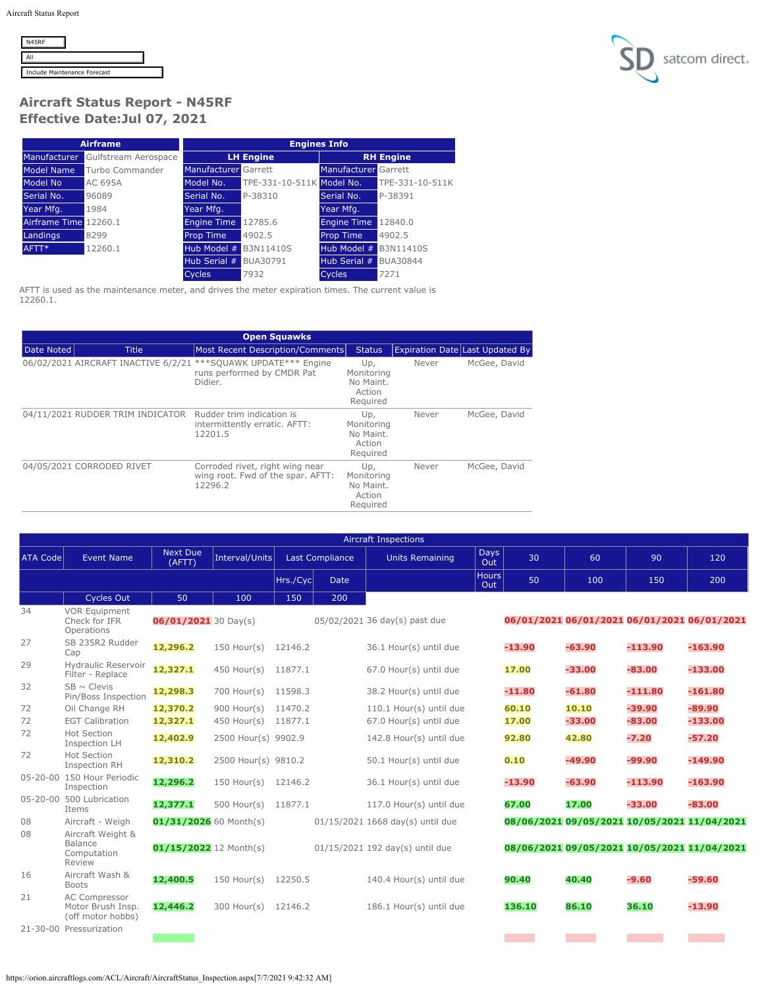| <b>N45RF</b> |                              |  |
|--------------|------------------------------|--|
|              |                              |  |
|              | Include Maintenance Forecast |  |



## **Aircraft Status Report - N45RF Effective Date:Jul 07, 2021**

|                       | <b>Airframe</b>      | <b>Engines Info</b>         |                           |                             |                  |  |
|-----------------------|----------------------|-----------------------------|---------------------------|-----------------------------|------------------|--|
| Manufacturer          | Gulfstream Aerospace |                             | <b>LH Engine</b>          |                             | <b>RH</b> Engine |  |
| Model Name            | Turbo Commander      | <b>Manufacturer</b> Garrett |                           | <b>Manufacturer Garrett</b> |                  |  |
| Model No              | AC 695A              | Model No.                   | TPE-331-10-511K Model No. |                             | TPE-331-10-511K  |  |
| Serial No.            | 96089                | Serial No.                  | P-38310                   | Serial No.                  | P-38391          |  |
| Year Mfg.             | 1984                 | Year Mfg.                   |                           | Year Mfg.                   |                  |  |
| Airframe Time 12260.1 |                      | <b>Engine Time</b>          | 12785.6                   | <b>Engine Time</b>          | 12840.0          |  |
| Landings              | 8299                 | Prop Time                   | 4902.5                    | <b>Prop Time</b>            | 4902.5           |  |
| AFTT*                 | 12260.1              | Hub Model #                 | B3N11410S                 | Hub Model #                 | B3N11410S        |  |
|                       |                      | Hub Serial #                | BUA30791                  | Hub Serial #                | BUA30844         |  |
|                       |                      | <b>Cycles</b>               | 7932                      | <b>Cycles</b>               | 7271             |  |

AFTT is used as the maintenance meter, and drives the meter expiration times. The current value is 12260.1.

|            | <b>Open Squawks</b>                                        |                                                                                 |                                                      |                                        |              |  |  |  |  |  |  |
|------------|------------------------------------------------------------|---------------------------------------------------------------------------------|------------------------------------------------------|----------------------------------------|--------------|--|--|--|--|--|--|
| Date Noted | <b>Title</b>                                               | Most Recent Description/Comments                                                | <b>Status</b>                                        | <b>Expiration Date Last Updated By</b> |              |  |  |  |  |  |  |
|            | 06/02/2021 AIRCRAFT INACTIVE 6/2/21                        | ***SQUAWK UPDATE*** Engine<br>runs performed by CMDR Pat<br>Didier.             | Up,<br>Monitoring<br>No Maint.<br>Action<br>Required | Never                                  | McGee, David |  |  |  |  |  |  |
|            | 04/11/2021 RUDDER TRIM INDICATOR Rudder trim indication is | intermittently erratic. AFTT:<br>12201.5                                        | Up,<br>Monitoring<br>No Maint.<br>Action<br>Required | Never                                  | McGee, David |  |  |  |  |  |  |
|            | 04/05/2021 CORRODED RIVET                                  | Corroded rivet, right wing near<br>wing root. Fwd of the spar. AFTT:<br>12296.2 | Up,<br>Monitoring<br>No Maint.<br>Action<br>Required | Never                                  | McGee, David |  |  |  |  |  |  |

| <b>Aircraft Inspections</b> |                                                         |                               |                     |           |                        |                                  |                    |                                             |          |           |           |
|-----------------------------|---------------------------------------------------------|-------------------------------|---------------------|-----------|------------------------|----------------------------------|--------------------|---------------------------------------------|----------|-----------|-----------|
| <b>ATA Code</b>             | <b>Event Name</b>                                       | <b>Next Due</b><br>(AFTT)     | Interval/Units      |           | <b>Last Compliance</b> | <b>Units Remaining</b>           | <b>Days</b><br>Out | 30                                          | 60       | 90        | 120       |
|                             |                                                         |                               |                     | Hrs./Cycl | <b>Date</b>            |                                  | Hours<br>Out       | 50                                          | 100      | 150       | 200       |
|                             | <b>Cycles Out</b>                                       | 50                            | 100                 | 150       | 200                    |                                  |                    |                                             |          |           |           |
| 34                          | <b>VOR Equipment</b><br>Check for IFR<br>Operations     | $06/01/2021$ 30 Day(s)        |                     |           |                        | 05/02/2021 36 day(s) past due    |                    | 06/01/2021 06/01/2021 06/01/2021 06/01/2021 |          |           |           |
| 27                          | SB 235R2 Rudder<br>Cap                                  | 12,296.2                      | $150$ Hour(s)       | 12146.2   |                        | 36.1 Hour(s) until due           |                    | $-13.90$                                    | $-63.90$ | $-113.90$ | $-163.90$ |
| 29                          | Hydraulic Reservoir<br>Filter - Replace                 | 12,327.1                      | 450 Hour(s) 11877.1 |           |                        | 67.0 Hour(s) until due           |                    | 17.00                                       | $-33.00$ | $-83.00$  | $-133.00$ |
| 32                          | $SB \sim$ Clevis<br>Pin/Boss Inspection                 | 12,298.3                      | 700 Hour(s) 11598.3 |           |                        | 38.2 Hour(s) until due           |                    | $-11.80$                                    | $-61.80$ | $-111.80$ | $-161.80$ |
| 72                          | Oil Change RH                                           | 12,370.2                      | $900$ Hour(s)       | 11470.2   |                        | 110.1 Hour(s) until due          |                    | 60.10                                       | 10.10    | $-39.90$  | $-89.90$  |
| 72                          | <b>EGT Calibration</b>                                  | 12,327.1                      | $450$ Hour(s)       | 11877.1   |                        | 67.0 Hour(s) until due           |                    | 17.00                                       | $-33.00$ | $-83.00$  | $-133.00$ |
| 72                          | <b>Hot Section</b><br>Inspection LH                     | 12,402.9                      | 2500 Hour(s) 9902.9 |           |                        | 142.8 Hour(s) until due          |                    | 92.80                                       | 42.80    | $-7.20$   | $-57.20$  |
| 72                          | <b>Hot Section</b><br><b>Inspection RH</b>              | 12,310.2                      | 2500 Hour(s) 9810.2 |           |                        | 50.1 Hour(s) until due           |                    | 0.10                                        | $-49.90$ | $-99.90$  | $-149.90$ |
|                             | 05-20-00 150 Hour Periodic<br>Inspection                | 12,296.2                      | 150 Hour(s) 12146.2 |           |                        | 36.1 Hour(s) until due           |                    | $-13.90$                                    | $-63.90$ | $-113.90$ | $-163.90$ |
|                             | 05-20-00 500 Lubrication<br>Items                       | 12,377.1                      | $500$ Hour(s)       | 11877.1   |                        | 117.0 Hour(s) until due          |                    | 67.00                                       | 17.00    | $-33.00$  | $-83.00$  |
| 08                          | Aircraft - Weigh                                        | $01/31/2026$ 60 Month(s)      |                     |           |                        | 01/15/2021 1668 day(s) until due |                    | 08/06/2021 09/05/2021 10/05/2021 11/04/2021 |          |           |           |
| 08                          | Aircraft Weight &<br>Balance<br>Computation<br>Review   | $01/15/2022$ 12 Month(s)      |                     |           |                        | 01/15/2021 192 day(s) until due  |                    | 08/06/2021 09/05/2021 10/05/2021 11/04/2021 |          |           |           |
| 16                          | Aircraft Wash &<br><b>Boots</b>                         | 12,400.5                      | $150$ Hour(s)       | 12250.5   |                        | 140.4 Hour(s) until due          |                    | 90.40                                       | 40.40    | $-9.60$   | $-59.60$  |
| 21                          | AC Compressor<br>Motor Brush Insp.<br>(off motor hobbs) | 12,446.2                      | 300 Hour(s) 12146.2 |           |                        | 186.1 Hour(s) until due          |                    | 136.10                                      | 86.10    | 36.10     | $-13.90$  |
|                             | 21-30-00 Pressurization                                 | the control of the control of |                     |           |                        |                                  |                    |                                             |          |           |           |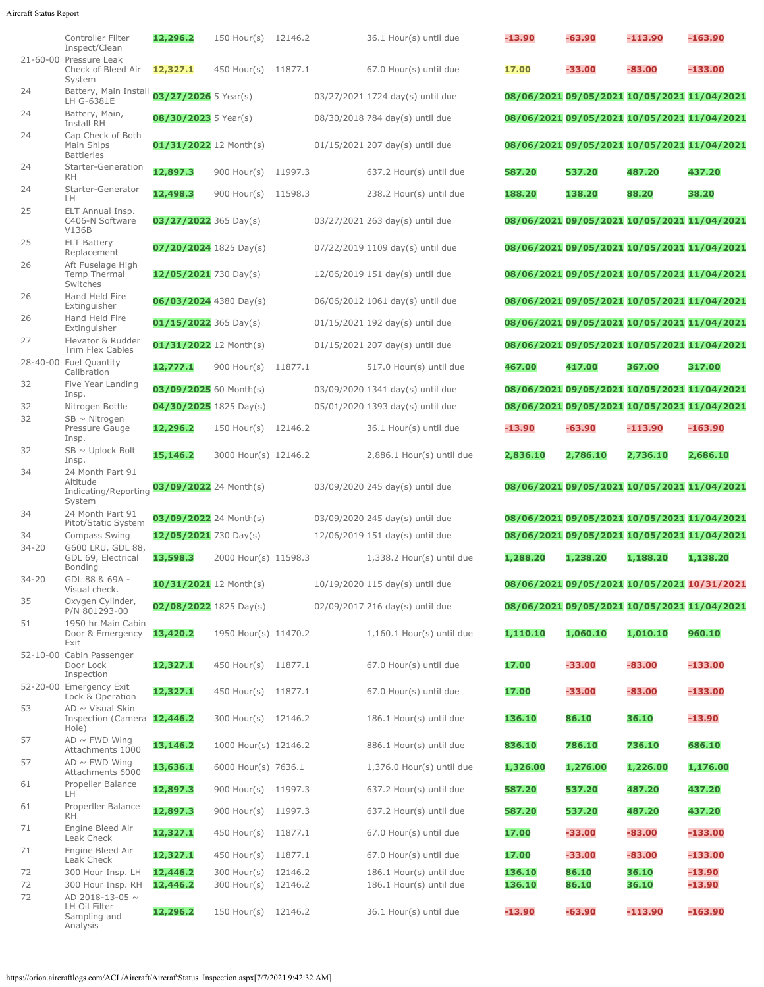## Aircraft Status Report

|                 | Controller Filter<br>Inspect/Clean                             | 12,296.2                 | 150 Hour(s) 12146.2  |  | 36.1 Hour(s) until due            | $-13.90$ | $-63.90$                                                                                   | $-113.90$ | $-163.90$ |
|-----------------|----------------------------------------------------------------|--------------------------|----------------------|--|-----------------------------------|----------|--------------------------------------------------------------------------------------------|-----------|-----------|
|                 | 21-60-00 Pressure Leak<br>Check of Bleed Air                   | 12,327.1                 | 450 Hour(s) 11877.1  |  | 67.0 Hour(s) until due            | 17.00    | $-33.00$                                                                                   | $-83.00$  | $-133.00$ |
| 24              | System<br>Battery, Main Install<br>LH G-6381E                  | 03/27/2026 5 Year(s)     |                      |  | 03/27/2021 1724 day(s) until due  |          | 08/06/2021 09/05/2021 10/05/2021 11/04/2021                                                |           |           |
| 24              | Battery, Main,<br>Install RH                                   | 08/30/2023 5 Year(s)     |                      |  | 08/30/2018 784 day(s) until due   |          | 08/06/2021 09/05/2021 10/05/2021 11/04/2021                                                |           |           |
| 24              | Cap Check of Both<br>Main Ships<br><b>Battieries</b>           | $01/31/2022$ 12 Month(s) |                      |  | 01/15/2021 207 day(s) until due   |          | 08/06/2021 09/05/2021 10/05/2021 11/04/2021                                                |           |           |
| 24              | Starter-Generation<br><b>RH</b>                                | 12,897.3                 | 900 Hour(s) 11997.3  |  | 637.2 Hour(s) until due           | 587.20   | 537.20                                                                                     | 487.20    | 437.20    |
| 24              | Starter-Generator<br>LH.                                       | 12,498.3                 | 900 Hour(s) 11598.3  |  | 238.2 Hour(s) until due           | 188.20   | 138.20                                                                                     | 88.20     | 38.20     |
| 25              | ELT Annual Insp.<br>C406-N Software<br>V136B                   | 03/27/2022 365 Day(s)    |                      |  | 03/27/2021 263 day(s) until due   |          | 08/06/2021 09/05/2021 10/05/2021 11/04/2021                                                |           |           |
| 25              | <b>ELT Battery</b><br>Replacement                              | $07/20/2024$ 1825 Day(s) |                      |  | 07/22/2019 1109 day(s) until due  |          | 08/06/2021 09/05/2021 10/05/2021 11/04/2021                                                |           |           |
| 26              | Aft Fuselage High<br>Temp Thermal<br>Switches                  | $12/05/2021$ 730 Day(s)  |                      |  | 12/06/2019 151 day(s) until due   |          | 08/06/2021 09/05/2021 10/05/2021 11/04/2021                                                |           |           |
| 26              | Hand Held Fire<br>Extinguisher                                 | 06/03/2024 4380 Day(s)   |                      |  | 06/06/2012 1061 day(s) until due  |          | 08/06/2021 09/05/2021 10/05/2021 11/04/2021                                                |           |           |
| 26              | Hand Held Fire<br>Extinguisher                                 | $01/15/2022$ 365 Day(s)  |                      |  | $01/15/2021$ 192 day(s) until due |          | 08/06/2021 09/05/2021 10/05/2021 11/04/2021                                                |           |           |
| 27              | Elevator & Rudder<br>Trim Flex Cables                          | $01/31/2022$ 12 Month(s) |                      |  | 01/15/2021 207 day(s) until due   |          | 08/06/2021 09/05/2021 10/05/2021 11/04/2021                                                |           |           |
|                 | 28-40-00 Fuel Quantity<br>Calibration                          | 12,777.1                 | 900 Hour(s) 11877.1  |  | 517.0 Hour(s) until due           | 467.00   | 417.00                                                                                     | 367.00    | 317.00    |
| 32              | Five Year Landing                                              | 03/09/2025 60 Month(s)   |                      |  | 03/09/2020 1341 day(s) until due  |          | 08/06/2021 09/05/2021 10/05/2021 11/04/2021                                                |           |           |
| 32              | Insp.<br>Nitrogen Bottle                                       | $04/30/2025$ 1825 Day(s) |                      |  | 05/01/2020 1393 day(s) until due  |          | 08/06/2021 09/05/2021 10/05/2021 11/04/2021                                                |           |           |
| 32              | $SB \sim$ Nitrogen<br>Pressure Gauge                           | 12,296.2                 | 150 Hour(s) 12146.2  |  | 36.1 Hour(s) until due            | $-13.90$ | $-63.90$                                                                                   | $-113.90$ | $-163.90$ |
| 32              | Insp.<br>$SB \sim$ Uplock Bolt<br>Insp.                        | 15,146.2                 | 3000 Hour(s) 12146.2 |  | 2,886.1 Hour(s) until due         | 2,836.10 | 2,786.10                                                                                   | 2,736.10  | 2,686.10  |
| 34              | 24 Month Part 91<br>Altitude<br>Indicating/Reporting           | 03/09/2022 24 Month(s)   |                      |  | 03/09/2020 245 day(s) until due   |          | 08/06/2021 09/05/2021 10/05/2021 11/04/2021                                                |           |           |
| 34              | System<br>24 Month Part 91                                     |                          |                      |  |                                   |          |                                                                                            |           |           |
|                 | Pitot/Static System                                            | 03/09/2022 24 Month(s)   |                      |  | 03/09/2020 245 day(s) until due   |          | 08/06/2021 09/05/2021 10/05/2021 11/04/2021<br>08/06/2021 09/05/2021 10/05/2021 11/04/2021 |           |           |
| 34<br>$34 - 20$ | Compass Swing<br>G600 LRU, GDL 88,                             | 12/05/2021 730 Day(s)    |                      |  | 12/06/2019 151 day(s) until due   |          |                                                                                            |           |           |
| $34 - 20$       | GDL 69, Electrical<br>Bonding<br>GDL 88 & 69A -                | 13,598.3                 | 2000 Hour(s) 11598.3 |  | 1,338.2 Hour(s) until due         | 1,288.20 | 1,238,20                                                                                   | 1,188.20  | 1,138.20  |
|                 | Visual check.                                                  | 10/31/2021 12 Month(s)   |                      |  | 10/19/2020 115 day(s) until due   |          | 08/06/2021 09/05/2021 10/05/2021 10/31/2021                                                |           |           |
| 35              | Oxygen Cylinder,<br>P/N 801293-00                              | $02/08/2022$ 1825 Day(s) |                      |  | 02/09/2017 216 day(s) until due   |          | 08/06/2021 09/05/2021 10/05/2021 11/04/2021                                                |           |           |
| 51              | 1950 hr Main Cabin<br>Door & Emergency<br>Exit                 | 13,420.2                 | 1950 Hour(s) 11470.2 |  | $1,160.1$ Hour(s) until due       | 1,110.10 | 1,060.10                                                                                   | 1,010.10  | 960.10    |
|                 | 52-10-00 Cabin Passenger<br>Door Lock<br>Inspection            | 12,327.1                 | 450 Hour(s) 11877.1  |  | 67.0 Hour(s) until due            | 17.00    | $-33.00$                                                                                   | $-83.00$  | -133.00   |
|                 | 52-20-00 Emergency Exit<br>Lock & Operation                    | 12,327.1                 | 450 Hour(s) 11877.1  |  | 67.0 Hour(s) until due            | 17.00    | $-33.00$                                                                                   | $-83.00$  | $-133.00$ |
| 53              | $AD \sim V$ isual Skin<br>Inspection (Camera 12,446.2<br>Hole) |                          | 300 Hour(s) 12146.2  |  | 186.1 Hour(s) until due           | 136.10   | 86.10                                                                                      | 36.10     | $-13.90$  |
| 57              | $AD \sim FWD$ Wing<br>Attachments 1000                         | 13,146.2                 | 1000 Hour(s) 12146.2 |  | 886.1 Hour(s) until due           | 836.10   | 786.10                                                                                     | 736.10    | 686.10    |
| 57              | $AD \sim FWD$ Wing<br>Attachments 6000                         | 13,636.1                 | 6000 Hour(s) 7636.1  |  | $1,376.0$ Hour(s) until due       | 1,326.00 | 1,276.00                                                                                   | 1,226.00  | 1,176.00  |
| 61              | Propeller Balance<br>LН                                        | 12,897.3                 | 900 Hour(s) 11997.3  |  | 637.2 Hour(s) until due           | 587.20   | 537.20                                                                                     | 487.20    | 437.20    |
| 61              | Properller Balance                                             | 12,897.3                 | 900 Hour(s) 11997.3  |  | 637.2 Hour(s) until due           | 587.20   | 537.20                                                                                     | 487.20    | 437.20    |
| 71              | RH<br>Engine Bleed Air                                         | 12,327.1                 | 450 Hour(s) 11877.1  |  | 67.0 Hour(s) until due            | 17.00    | $-33.00$                                                                                   | $-83.00$  | $-133.00$ |
| 71              | Leak Check<br>Engine Bleed Air                                 | 12,327.1                 | 450 Hour(s) 11877.1  |  | 67.0 Hour(s) until due            | 17.00    | $-33.00$                                                                                   | $-83.00$  | $-133.00$ |
| 72              | Leak Check<br>300 Hour Insp. LH                                | 12,446.2                 | 300 Hour(s) 12146.2  |  | 186.1 Hour(s) until due           | 136.10   | 86.10                                                                                      | 36.10     | $-13.90$  |
| 72<br>72        | 300 Hour Insp. RH<br>AD 2018-13-05 ~                           | 12,446.2                 | 300 Hour(s) 12146.2  |  | 186.1 Hour(s) until due           | 136.10   | 86.10                                                                                      | 36.10     | $-13.90$  |
|                 | LH Oil Filter<br>Sampling and<br>Analysis                      | 12,296.2                 | 150 Hour(s) 12146.2  |  | 36.1 Hour(s) until due            | -13.90   | $-63.90$                                                                                   | $-113.90$ | -163.90   |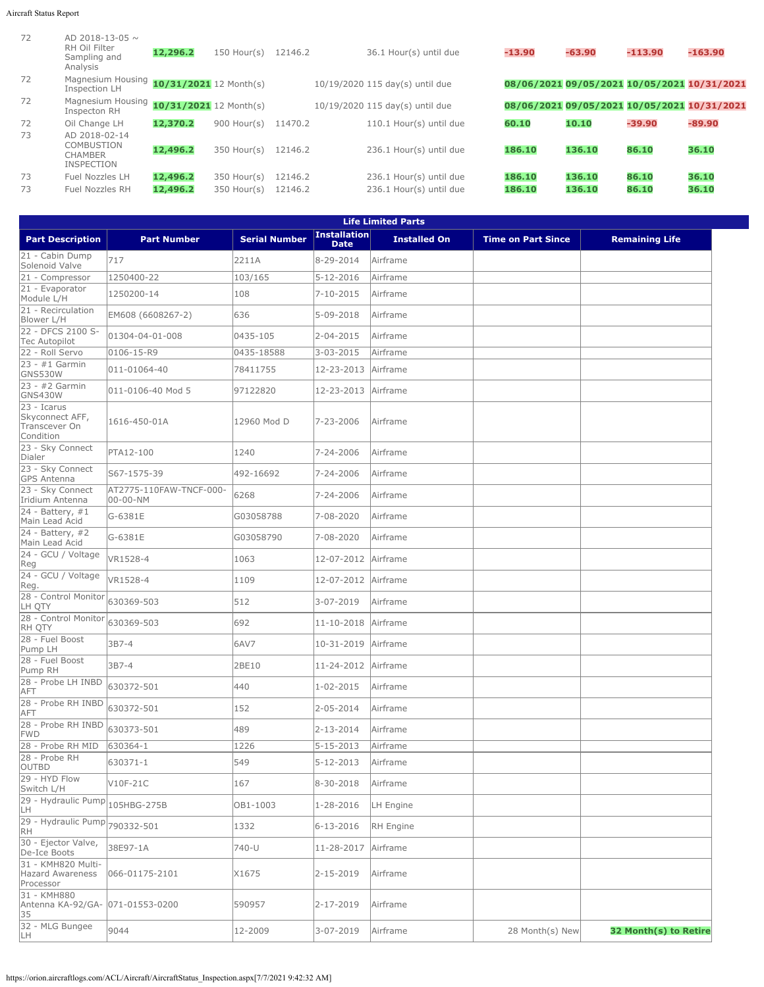## Aircraft Status Report

| 72 | AD 2018-13-05 $\sim$<br>RH Oil Filter<br>Sampling and<br>Analysis  | 12,296.2                 | $150$ Hour(s) | 12146.2 | 36.1 Hour(s) until due          | $-13.90$ | $-63.90$                                    | $-113.90$ | $-163.90$ |
|----|--------------------------------------------------------------------|--------------------------|---------------|---------|---------------------------------|----------|---------------------------------------------|-----------|-----------|
| 72 | Magnesium Housing 10/31/2021 12 Month(s)<br>Inspection LH          |                          |               |         | 10/19/2020 115 day(s) until due |          | 08/06/2021 09/05/2021 10/05/2021 10/31/2021 |           |           |
| 72 | Magnesium Housing<br>Inspecton RH                                  | $10/31/2021$ 12 Month(s) |               |         | 10/19/2020 115 day(s) until due |          | 08/06/2021 09/05/2021 10/05/2021 10/31/2021 |           |           |
| 72 | Oil Change LH                                                      | 12,370.2                 | $900$ Hour(s) | 11470.2 | 110.1 Hour(s) until due         | 60.10    | 10.10                                       | $-39.90$  | $-89.90$  |
| 73 | AD 2018-02-14<br>COMBUSTION<br><b>CHAMBER</b><br><b>INSPECTION</b> | 12,496.2                 | $350$ Hour(s) | 12146.2 | 236.1 Hour(s) until due         | 186.10   | 136.10                                      | 86.10     | 36.10     |
| 73 | Fuel Nozzles LH                                                    | 12,496.2                 | $350$ Hour(s) | 12146.2 | 236.1 Hour(s) until due         | 186.10   | 136.10                                      | 86.10     | 36.10     |
| 73 | Fuel Nozzles RH                                                    | 12,496.2                 | $350$ Hour(s) | 12146.2 | 236.1 Hour(s) until due         | 186.10   | 136.10                                      | 86.10     | 36.10     |

| <b>Life Limited Parts</b>                                    |                                     |                      |                                    |                     |                           |                       |  |  |
|--------------------------------------------------------------|-------------------------------------|----------------------|------------------------------------|---------------------|---------------------------|-----------------------|--|--|
| <b>Part Description</b>                                      | <b>Part Number</b>                  | <b>Serial Number</b> | <b>Installation</b><br><b>Date</b> | <b>Installed On</b> | <b>Time on Part Since</b> | <b>Remaining Life</b> |  |  |
| 21 - Cabin Dump<br>Solenoid Valve                            | 717                                 | 2211A                | 8-29-2014                          | Airframe            |                           |                       |  |  |
| 21 - Compressor                                              | 1250400-22                          | 103/165              | 5-12-2016                          | Airframe            |                           |                       |  |  |
| 21 - Evaporator<br>Module L/H                                | 1250200-14                          | 108                  | 7-10-2015                          | Airframe            |                           |                       |  |  |
| 21 - Recirculation<br>Blower L/H                             | EM608 (6608267-2)                   | 636                  | 5-09-2018                          | Airframe            |                           |                       |  |  |
| 22 - DFCS 2100 S-<br><b>Tec Autopilot</b>                    | 01304-04-01-008                     | 0435-105             | 2-04-2015                          | Airframe            |                           |                       |  |  |
| 22 - Roll Servo                                              | 0106-15-R9                          | 0435-18588           | 3-03-2015                          | Airframe            |                           |                       |  |  |
| $23 - #1$ Garmin<br><b>GNS530W</b>                           | 011-01064-40                        | 78411755             | 12-23-2013                         | Airframe            |                           |                       |  |  |
| 23 - #2 Garmin<br><b>GNS430W</b>                             | 011-0106-40 Mod 5                   | 97122820             | 12-23-2013                         | Airframe            |                           |                       |  |  |
| 23 - Icarus<br>Skyconnect AFF,<br>Transcever On<br>Condition | 1616-450-01A                        | 12960 Mod D          | 7-23-2006                          | Airframe            |                           |                       |  |  |
| 23 - Sky Connect<br>Dialer                                   | PTA12-100                           | 1240                 | 7-24-2006                          | Airframe            |                           |                       |  |  |
| 23 - Sky Connect<br><b>GPS Antenna</b>                       | S67-1575-39                         | 492-16692            | 7-24-2006                          | Airframe            |                           |                       |  |  |
| 23 - Sky Connect<br>Iridium Antenna                          | AT2775-110FAW-TNCF-000-<br>00-00-NM | 6268                 | 7-24-2006                          | Airframe            |                           |                       |  |  |
| 24 - Battery, #1<br>Main Lead Acid                           | G-6381E                             | G03058788            | 7-08-2020                          | Airframe            |                           |                       |  |  |
| $24 - Battery, #2$<br>Main Lead Acid                         | G-6381E                             | G03058790            | 7-08-2020                          | Airframe            |                           |                       |  |  |
| 24 - GCU / Voltage<br>Reg                                    | VR1528-4                            | 1063                 | 12-07-2012                         | Airframe            |                           |                       |  |  |
| 24 - GCU / Voltage<br>Reg.                                   | VR1528-4                            | 1109                 | 12-07-2012                         | Airframe            |                           |                       |  |  |
| 28 - Control Monitor<br>LH QTY                               | 630369-503                          | 512                  | 3-07-2019                          | Airframe            |                           |                       |  |  |
| 28 - Control Monitor<br>RH QTY                               | 630369-503                          | 692                  | 11-10-2018                         | Airframe            |                           |                       |  |  |
| 28 - Fuel Boost<br>Pump LH                                   | 3B7-4                               | 6AV7                 | 10-31-2019                         | Airframe            |                           |                       |  |  |
| 28 - Fuel Boost<br>Pump RH                                   | 3B7-4                               | 2BE10                | 11-24-2012                         | Airframe            |                           |                       |  |  |
| 28 - Probe LH INBD<br>AFT                                    | 630372-501                          | 440                  | 1-02-2015                          | Airframe            |                           |                       |  |  |
| 28 - Probe RH INBD<br>AFT                                    | 630372-501                          | 152                  | 2-05-2014                          | Airframe            |                           |                       |  |  |
| 28 - Probe RH INBD<br><b>FWD</b>                             | 630373-501                          | 489                  | 2-13-2014                          | Airframe            |                           |                       |  |  |
| 28 - Probe RH MID                                            | 630364-1                            | 1226                 | 5-15-2013                          | Airframe            |                           |                       |  |  |
| 28 - Probe RH<br><b>OUTBD</b>                                | 630371-1                            | 549                  | $5 - 12 - 2013$                    | Airframe            |                           |                       |  |  |
| 29 - HYD Flow<br>Switch L/H                                  | V10F-21C                            | 167                  | 8-30-2018                          | Airframe            |                           |                       |  |  |
| 29 - Hydraulic Pump<br>LH                                    | 105HBG-275B                         | OB1-1003             | 1-28-2016                          | LH Engine           |                           |                       |  |  |
| 29 - Hydraulic Pump<br>RH                                    | 790332-501                          | 1332                 | 6-13-2016                          | RH Engine           |                           |                       |  |  |
| 30 - Ejector Valve,<br>De-Ice Boots                          | 38E97-1A                            | 740-U                | 11-28-2017                         | Airframe            |                           |                       |  |  |
| 31 - KMH820 Multi-<br><b>Hazard Awareness</b><br>Processor   | 066-01175-2101                      | X1675                | 2-15-2019                          | Airframe            |                           |                       |  |  |
| 31 - KMH880<br>Antenna KA-92/GA- 071-01553-0200<br>35        |                                     | 590957               | 2-17-2019                          | Airframe            |                           |                       |  |  |
| 32 - MLG Bungee<br>LH                                        | 9044                                | 12-2009              | 3-07-2019                          | Airframe            | 28 Month(s) New           | 32 Month(s) to Retire |  |  |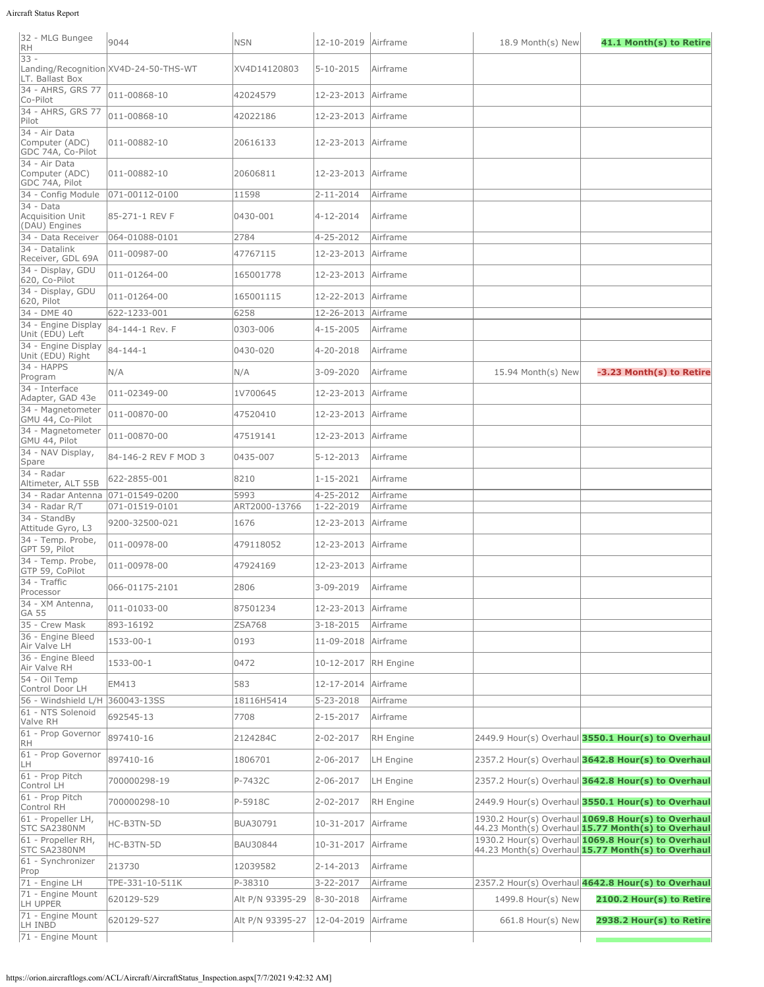## Aircraft Status Report

| 32 - MLG Bungee<br>RH                                | 9044                                  | <b>NSN</b>       | 12-10-2019 Airframe |                 | 18.9 Month(s) New  | 41.1 Month(s) to Retire                                                                                  |
|------------------------------------------------------|---------------------------------------|------------------|---------------------|-----------------|--------------------|----------------------------------------------------------------------------------------------------------|
| $33 -$<br>LT. Ballast Box                            | Landing/Recognition XV4D-24-50-THS-WT | XV4D14120803     | $5 - 10 - 2015$     | Airframe        |                    |                                                                                                          |
| 34 - AHRS, GRS 77<br>Co-Pilot                        | 011-00868-10                          | 42024579         | 12-23-2013          | Airframe        |                    |                                                                                                          |
| 34 - AHRS, GRS 77<br>Pilot                           | 011-00868-10                          | 42022186         | 12-23-2013          | Airframe        |                    |                                                                                                          |
| 34 - Air Data<br>Computer (ADC)<br>GDC 74A, Co-Pilot | 011-00882-10                          | 20616133         | 12-23-2013 Airframe |                 |                    |                                                                                                          |
| 34 - Air Data<br>Computer (ADC)<br>GDC 74A, Pilot    | 011-00882-10                          | 20606811         | 12-23-2013 Airframe |                 |                    |                                                                                                          |
| 34 - Config Module                                   | 071-00112-0100                        | 11598            | 2-11-2014           | Airframe        |                    |                                                                                                          |
| $34 - Data$<br>Acquisition Unit<br>(DAU) Engines     | 85-271-1 REV F                        | 0430-001         | 4-12-2014           | Airframe        |                    |                                                                                                          |
| 34 - Data Receiver<br>34 - Datalink                  | 064-01088-0101                        | 2784             | 4-25-2012           | Airframe        |                    |                                                                                                          |
| Receiver, GDL 69A                                    | 011-00987-00                          | 47767115         | 12-23-2013          | <b>Airframe</b> |                    |                                                                                                          |
| 34 - Display, GDU<br>620, Co-Pilot                   | 011-01264-00                          | 165001778        | 12-23-2013          | Airframe        |                    |                                                                                                          |
| 34 - Display, GDU<br>620, Pilot                      | 011-01264-00                          | 165001115        | 12-22-2013          | Airframe        |                    |                                                                                                          |
| $34 - DME 40$                                        | 622-1233-001                          | 6258             | 12-26-2013          | Airframe        |                    |                                                                                                          |
| 34 - Engine Display<br>Unit (EDU) Left               | 84-144-1 Rev. F                       | 0303-006         | 4-15-2005           | Airframe        |                    |                                                                                                          |
| 34 - Engine Display<br>Unit (EDU) Right              | 84-144-1                              | 0430-020         | 4-20-2018           | Airframe        |                    |                                                                                                          |
| 34 - HAPPS<br>Program                                | N/A                                   | N/A              | 3-09-2020           | Airframe        | 15.94 Month(s) New | -3.23 Month(s) to Retire                                                                                 |
| 34 - Interface<br>Adapter, GAD 43e                   | 011-02349-00                          | 1V700645         | 12-23-2013          | Airframe        |                    |                                                                                                          |
| 34 - Magnetometer<br>GMU 44, Co-Pilot                | 011-00870-00                          | 47520410         | 12-23-2013          | Airframe        |                    |                                                                                                          |
| 34 - Magnetometer<br>GMU 44, Pilot                   | 011-00870-00                          | 47519141         | 12-23-2013          | Airframe        |                    |                                                                                                          |
| 34 - NAV Display,<br>Spare                           | 84-146-2 REV F MOD 3                  | 0435-007         | 5-12-2013           | Airframe        |                    |                                                                                                          |
| $34$ - Radar<br>Altimeter, ALT 55B                   | 622-2855-001                          | 8210             | $1 - 15 - 2021$     | <b>Airframe</b> |                    |                                                                                                          |
| 34 - Radar Antenna                                   | 071-01549-0200                        | 5993             | 4-25-2012           | Airframe        |                    |                                                                                                          |
| 34 - Radar R/T<br>34 - StandBy                       | 071-01519-0101                        | ART2000-13766    | 1-22-2019           | Airframe        |                    |                                                                                                          |
| Attitude Gyro, L3                                    | 9200-32500-021                        | 1676             | 12-23-2013          | Airframe        |                    |                                                                                                          |
| 34 - Temp. Probe,<br>GPT 59, Pilot                   | 011-00978-00                          | 479118052        | 12-23-2013          | Airframe        |                    |                                                                                                          |
| 34 - Temp. Probe,<br>GTP 59, CoPilot                 | 011-00978-00                          | 47924169         | 12-23-2013          | Airframe        |                    |                                                                                                          |
| 34 - Traffic<br>Processor                            | 066-01175-2101                        | 2806             | 3-09-2019           | Airframe        |                    |                                                                                                          |
| 34 - XM Antenna,<br><b>GA 55</b>                     | 011-01033-00                          | 87501234         | 12-23-2013          | Airframe        |                    |                                                                                                          |
| 35 - Crew Mask                                       | 893-16192                             | <b>ZSA768</b>    | $3 - 18 - 2015$     | Airframe        |                    |                                                                                                          |
| 36 - Engine Bleed<br>Air Valve LH                    | 1533-00-1                             | 0193             | 11-09-2018          | Airframe        |                    |                                                                                                          |
| 36 - Engine Bleed<br>Air Valve RH                    | 1533-00-1                             | 0472             | 10-12-2017          | RH Engine       |                    |                                                                                                          |
| 54 - Oil Temp<br>Control Door LH                     | EM413                                 | 583              | 12-17-2014          | Airframe        |                    |                                                                                                          |
| 56 - Windshield L/H                                  | 360043-13SS                           | 18116H5414       | $5 - 23 - 2018$     | Airframe        |                    |                                                                                                          |
| 61 - NTS Solenoid<br>Valve RH                        | 692545-13                             | 7708             | $2 - 15 - 2017$     | Airframe        |                    |                                                                                                          |
| 61 - Prop Governor<br>RH                             | 897410-16                             | 2124284C         | 2-02-2017           | RH Engine       |                    | 2449.9 Hour(s) Overhaul 3550.1 Hour(s) to Overhaul                                                       |
| 61 - Prop Governor<br>LH                             | 897410-16                             | 1806701          | 2-06-2017           | LH Engine       |                    | 2357.2 Hour(s) Overhaul 3642.8 Hour(s) to Overhaul                                                       |
| 61 - Prop Pitch<br>Control LH                        | 700000298-19                          | P-7432C          | 2-06-2017           | LH Engine       |                    | 2357.2 Hour(s) Overhaul 3642.8 Hour(s) to Overhaul                                                       |
| 61 - Prop Pitch<br>Control RH                        | 700000298-10                          | P-5918C          | 2-02-2017           | RH Engine       |                    | 2449.9 Hour(s) Overhaul 3550.1 Hour(s) to Overhaul                                                       |
| 61 - Propeller LH,<br>STC SA2380NM                   | HC-B3TN-5D                            | BUA30791         | 10-31-2017          | Airframe        |                    | 1930.2 Hour(s) Overhaul 1069.8 Hour(s) to Overhaul<br>44.23 Month(s) Overhaul 15.77 Month(s) to Overhaul |
| 61 - Propeller RH,<br>STC SA2380NM                   | HC-B3TN-5D                            | BAU30844         | 10-31-2017          | Airframe        |                    | 1930.2 Hour(s) Overhaul 1069.8 Hour(s) to Overhaul<br>44.23 Month(s) Overhaul 15.77 Month(s) to Overhaul |
| 61 - Synchronizer<br>Prop                            | 213730                                | 12039582         | 2-14-2013           | Airframe        |                    |                                                                                                          |
| 71 - Engine LH                                       | TPE-331-10-511K                       | P-38310          | 3-22-2017           | Airframe        |                    | 2357.2 Hour(s) Overhaul 4642.8 Hour(s) to Overhaul                                                       |
| 71 - Engine Mount<br>LH UPPER                        | 620129-529                            | Alt P/N 93395-29 | 8-30-2018           | Airframe        | 1499.8 Hour(s) New | 2100.2 Hour(s) to Retire                                                                                 |
| 71 - Engine Mount<br>LH INBD                         | 620129-527                            | Alt P/N 93395-27 | 12-04-2019          | Airframe        | 661.8 Hour(s) New  | 2938.2 Hour(s) to Retire                                                                                 |
| 71 - Engine Mount                                    |                                       |                  |                     |                 |                    |                                                                                                          |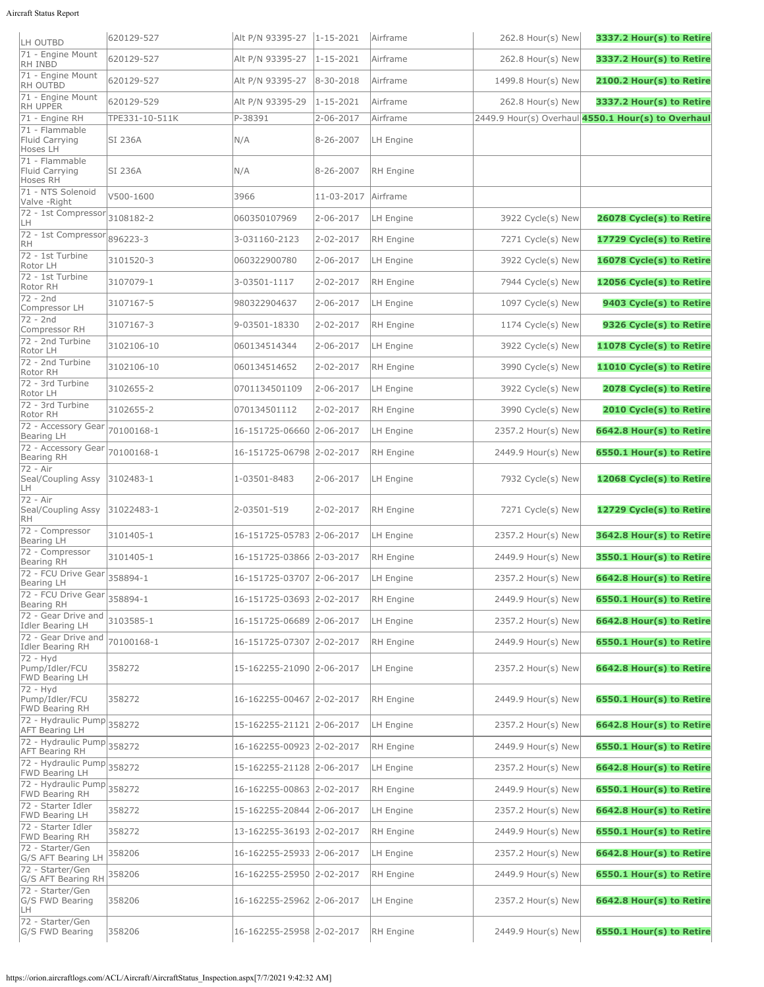| LH OUTBD                                                  | 620129-527     | Alt P/N 93395-27          | $1 - 15 - 2021$     | Airframe         | $262.8$ Hour(s) New | 3337.2 Hour(s) to Retire                           |
|-----------------------------------------------------------|----------------|---------------------------|---------------------|------------------|---------------------|----------------------------------------------------|
| 71 - Engine Mount<br>RH INBD                              | 620129-527     | Alt P/N 93395-27          | $1 - 15 - 2021$     | Airframe         | 262.8 Hour(s) New   | 3337.2 Hour(s) to Retire                           |
| 71 - Engine Mount<br><b>RH OUTBD</b>                      | 620129-527     | Alt P/N 93395-27          | $8 - 30 - 2018$     | Airframe         | 1499.8 Hour(s) New  | 2100.2 Hour(s) to Retire                           |
| 71 - Engine Mount<br>RH UPPER                             | 620129-529     | Alt P/N 93395-29          | $1 - 15 - 2021$     | Airframe         | 262.8 Hour(s) New   | 3337.2 Hour(s) to Retire                           |
| $\sqrt{71}$ - Engine RH                                   | TPE331-10-511K | P-38391                   | 2-06-2017           | Airframe         |                     | 2449.9 Hour(s) Overhaul 4550.1 Hour(s) to Overhaul |
| 71 - Flammable<br>Fluid Carrying<br>Hoses LH              | SI 236A        | N/A                       | 8-26-2007           | LH Engine        |                     |                                                    |
| 71 - Flammable<br>Fluid Carrying<br><b>Hoses RH</b>       | SI 236A        | N/A                       | 8-26-2007           | RH Engine        |                     |                                                    |
| 71 - NTS Solenoid<br>Valve - Right                        | V500-1600      | 3966                      | 11-03-2017 Airframe |                  |                     |                                                    |
| 72 - 1st Compressor<br>LH                                 | 3108182-2      | 060350107969              | 2-06-2017           | LH Engine        | 3922 Cycle(s) New   | 26078 Cycle(s) to Retire                           |
| 72 - 1st Compressor<br>RH                                 | 896223-3       | 3-031160-2123             | 2-02-2017           | RH Engine        | 7271 Cycle(s) New   | 17729 Cycle(s) to Retire                           |
| 72 - 1st Turbine<br>Rotor LH                              | 3101520-3      | 060322900780              | 2-06-2017           | LH Engine        | 3922 Cycle(s) New   | 16078 Cycle(s) to Retire                           |
| 72 - 1st Turbine<br>Rotor RH                              | 3107079-1      | 3-03501-1117              | 2-02-2017           | RH Engine        | 7944 Cycle(s) New   | 12056 Cycle(s) to Retire                           |
| $72 - 2nd$<br>Compressor LH                               | 3107167-5      | 980322904637              | 2-06-2017           | LH Engine        | 1097 Cycle(s) New   | 9403 Cycle(s) to Retire                            |
| $72 - 2nd$<br>Compressor RH                               | 3107167-3      | 9-03501-18330             | 2-02-2017           | RH Engine        | 1174 Cycle(s) New   | 9326 Cycle(s) to Retire                            |
| 72 - 2nd Turbine<br>Rotor LH                              | 3102106-10     | 060134514344              | 2-06-2017           | LH Engine        | 3922 Cycle(s) New   | 11078 Cycle(s) to Retire                           |
| 72 - 2nd Turbine<br>Rotor RH                              | 3102106-10     | 060134514652              | 2-02-2017           | RH Engine        | 3990 Cycle(s) New   | 11010 Cycle(s) to Retire                           |
| 72 - 3rd Turbine<br>Rotor LH                              | 3102655-2      | 0701134501109             | 2-06-2017           | LH Engine        | 3922 Cycle(s) New   | 2078 Cycle(s) to Retire                            |
| 72 - 3rd Turbine<br>Rotor RH                              | 3102655-2      | 070134501112              | 2-02-2017           | RH Engine        | 3990 Cycle(s) New   | 2010 Cycle(s) to Retire                            |
| 72 - Accessory Gear<br>Bearing LH                         | 70100168-1     | 16-151725-06660           | $2 - 06 - 2017$     | LH Engine        | 2357.2 Hour(s) New  | 6642.8 Hour(s) to Retire                           |
| 72 - Accessory Gear<br>Bearing RH                         | 70100168-1     | 16-151725-06798           | $2 - 02 - 2017$     | RH Engine        | 2449.9 Hour(s) New  | 6550.1 Hour(s) to Retire                           |
| 72 - Air<br>Seal/Coupling Assy<br>LH                      | 3102483-1      | 1-03501-8483              | 2-06-2017           | LH Engine        | 7932 Cycle(s) New   | 12068 Cycle(s) to Retire                           |
| $\overline{7}2$ - Air<br>Seal/Coupling Assy<br>RH         | 31022483-1     | 2-03501-519               | 2-02-2017           | RH Engine        | 7271 Cycle(s) New   | 12729 Cycle(s) to Retire                           |
| 72 - Compressor<br>Bearing LH                             | 3101405-1      | 16-151725-05783           | $2 - 06 - 2017$     | LH Engine        | 2357.2 Hour(s) New  | 3642.8 Hour(s) to Retire                           |
| 72 - Compressor<br>Bearing RH                             | 3101405-1      | 16-151725-03866           | $2 - 03 - 2017$     | RH Engine        | 2449.9 Hour(s) New  | 3550.1 Hour(s) to Retire                           |
| 72 - FCU Drive Gear<br>Bearing LH                         | 358894-1       | 16-151725-03707 2-06-2017 |                     | LH Engine        | 2357.2 Hour(s) New  | 6642.8 Hour(s) to Retire                           |
| 72 - FCU Drive Gear<br>Bearing RH                         | 358894-1       | 16-151725-03693 2-02-2017 |                     | RH Engine        | 2449.9 Hour(s) New  | 6550.1 Hour(s) to Retire                           |
| 72 - Gear Drive and<br>Idler Bearing LH                   | 3103585-1      | 16-151725-06689           | $2 - 06 - 2017$     | LH Engine        | 2357.2 Hour(s) New  | 6642.8 Hour(s) to Retire                           |
| 72 - Gear Drive and<br>Idler Bearing RH                   | 70100168-1     | 16-151725-07307           | $2 - 02 - 2017$     | RH Engine        | 2449.9 Hour(s) New  | 6550.1 Hour(s) to Retire                           |
| $\overline{72}$ - Hyd<br>Pump/Idler/FCU<br>FWD Bearing LH | 358272         | 15-162255-21090 2-06-2017 |                     | <b>LH Engine</b> | 2357.2 Hour(s) New  | 6642.8 Hour(s) to Retire                           |
| $\overline{7}2$ - Hyd<br>Pump/Idler/FCU<br>FWD Bearing RH | 358272         | 16-162255-00467 2-02-2017 |                     | RH Engine        | 2449.9 Hour(s) New  | 6550.1 Hour(s) to Retire                           |
| 72 - Hydraulic Pump<br>AFT Bearing LH                     | 358272         | 15-162255-21121           | $2 - 06 - 2017$     | LH Engine        | 2357.2 Hour(s) New  | 6642.8 Hour(s) to Retire                           |
| 72 - Hydraulic Pump<br><b>AFT Bearing RH</b>              | 358272         | 16-162255-00923           | $2 - 02 - 2017$     | RH Engine        | 2449.9 Hour(s) New  | 6550.1 Hour(s) to Retire                           |
| 72 - Hydraulic Pump 358272<br>FWD Bearing LH              |                | 15-162255-21128 2-06-2017 |                     | LH Engine        | 2357.2 Hour(s) New  | 6642.8 Hour(s) to Retire                           |
| 72 - Hydraulic Pump<br>FWD Bearing RH                     | 358272         | 16-162255-00863           | $2 - 02 - 2017$     | RH Engine        | 2449.9 Hour(s) New  | 6550.1 Hour(s) to Retire                           |
| 72 - Starter Idler<br>FWD Bearing LH                      | 358272         | 15-162255-20844           | $2 - 06 - 2017$     | LH Engine        | 2357.2 Hour(s) New  | 6642.8 Hour(s) to Retire                           |
| 72 - Starter Idler<br>FWD Bearing RH                      | 358272         | 13-162255-36193           | $2 - 02 - 2017$     | RH Engine        | 2449.9 Hour(s) New  | 6550.1 Hour(s) to Retire                           |
| 72 - Starter/Gen<br>G/S AFT Bearing LH                    | 358206         | 16-162255-25933           | $2 - 06 - 2017$     | LH Engine        | 2357.2 Hour(s) New  | 6642.8 Hour(s) to Retire                           |
| 72 - Starter/Gen<br>G/S AFT Bearing RH                    | 358206         | 16-162255-25950           | $2 - 02 - 2017$     | RH Engine        | 2449.9 Hour(s) New  | 6550.1 Hour(s) to Retire                           |
| 72 - Starter/Gen<br>G/S FWD Bearing<br>LH                 | 358206         | 16-162255-25962 2-06-2017 |                     | LH Engine        | 2357.2 Hour(s) New  | 6642.8 Hour(s) to Retire                           |
| $\overline{72}$ - Starter/Gen<br>G/S FWD Bearing          | 358206         | 16-162255-25958 2-02-2017 |                     | RH Engine        | 2449.9 Hour(s) New  | 6550.1 Hour(s) to Retire                           |